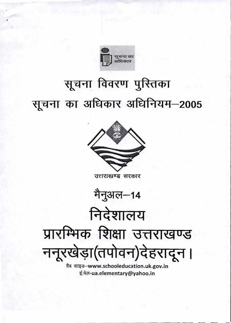

ई.मेल-ua.elementary@yahoo.in



## सूचना विवरण पुस्तिका सूचना का अधिकार अधिनियम-2005

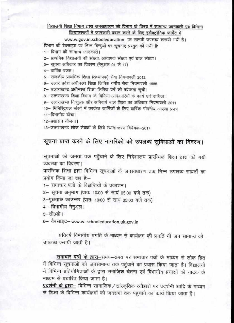## विद्यालयी शिक्षा विभाग द्वारा जनसाघारण को विभाग के विषय में सामान्य जानकारी एवं विभिन्न क्रियाकलापों में जानकारी प्रदान करने के लिए इलैक्ट्रॉनिक फार्मेट में

w.w.w.gov.in.schooleducation पर सामग्री उपलब्ध करायी गयी है। विभाग की बैवसाइट पर निम्न बिन्दुओं पर सूचनाएं प्रस्तुत की गयी है:

1– विभाग की सामान्य जानकारी।

2– प्राथमिक विद्यालयों की संख्या, अध्यापक संख्या एवं छात्र संख्या।

3- सूचना अधिकार का विवरण (मैनुअल 01 से 17)

4– वार्षिक बजट।

5– राजकीय प्राथमिक शिक्षा (अध्यापक) सेवा नियमावली 2012

6– उत्तर प्रदेश अधीनस्थ शिक्षा लिपिक वर्गीय सेवा नियमावली 1985

7– उत्तराखण्ड अधीनस्थ शिक्षा लिपिक वर्ग की ज्येष्ठता सूची।

8- उत्तराखण्उ शिक्षा विभाग के विभिन्न अधिकारियों के कार्य एवं दायित्व।

9- उत्तराखण्ड निःशुल्क और अनिवार्य बाल शिक्षा का अधिकार नियमावली 2011

10- मिनिस्ट्रियल संवर्ग में कार्यरत कार्मिकों के लिए वार्षिक गोपनीय आख्या प्रपन्न

11-विभागीय ढॉचा।

12-प्रशासन योजना।

13-उत्तराखण्ड लोक सेवकों के लिये स्थानान्तरण विधेयक-2017

## सूचना प्राप्त करने के लिए नागरिकों को उपलब्ध सुविधाओं का विवरण।

सूचनाओं को जनता तक पहुँचाने के लिए निदेशालय प्रारम्भिक शिक्षा द्वारा की गयी व्यवस्था का विवरण।

प्रारम्भिक शिक्षा द्वारा विभिन्न सूचनाओं के जनसाधारण तक निम्न उपलब्ध साधनों का प्रयोग किया जा रहा है:--

1- समाचार पत्रों के विज्ञप्तियों के प्रकाशन।

2- सूचना अनुभाग (प्रातः 10:00 से सायं 05:00 बजे तक)

3-पूछताछ काउन्टर (प्रातः 10:00 से सायं 05:00 बजे तक)

4- विभागीय मैनुअल।

5-सी0डी।

6- वैबसाइट- w.w.w. schooleducation.uk.gov.in

प्रतिवर्ष विभागीय प्रगति के माध्यम से कार्यक्रम की प्रगति भी जन सामान्य को उपलब्ध करायी जाती है।

समाचार पत्रों के द्वारा-समय-समय पर समाचार पत्रों के माध्यम से लोक हित में विभिन्न सूचनाओं को जनसामान्य तक पहुंचाने का प्रयास किया जाता है। विद्यालयों में विभिन्न प्रतियोगिताओं के द्वारा समाजिक चेतना एवं विभागीय प्रयासों को नाटक के माध्यम से प्रचारित किया जाता है।

प्रदर्शनी के द्वारा— विभिन्न सामाजिक / सांस्कृतिक त्यौहारों पर प्रदर्शनी आदि के माध्यम से शिक्षा के विभिन्न कार्यक्रमों को जनसभा तक पहुचाने का कार्य किया जाता है।